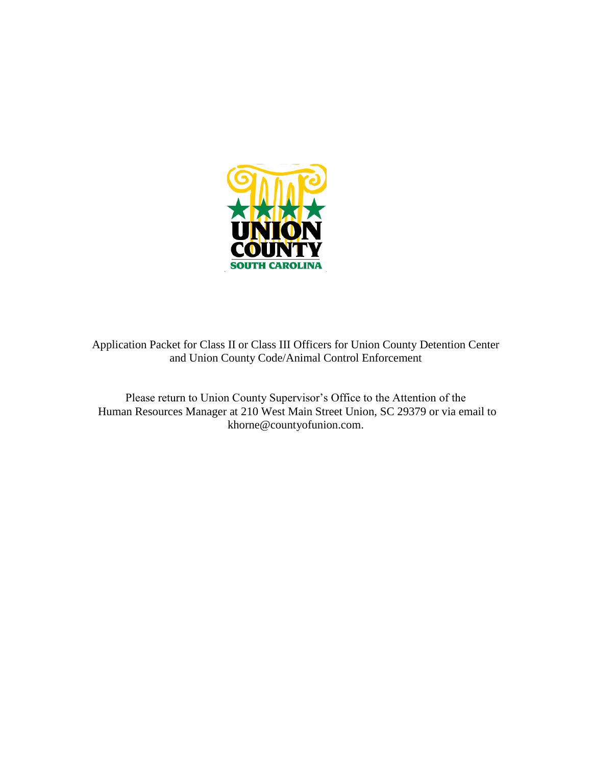

Application Packet for Class II or Class III Officers for Union County Detention Center and Union County Code/Animal Control Enforcement

Please return to Union County Supervisor's Office to the Attention of the Human Resources Manager at 210 West Main Street Union, SC 29379 or via email to khorne@countyofunion.com.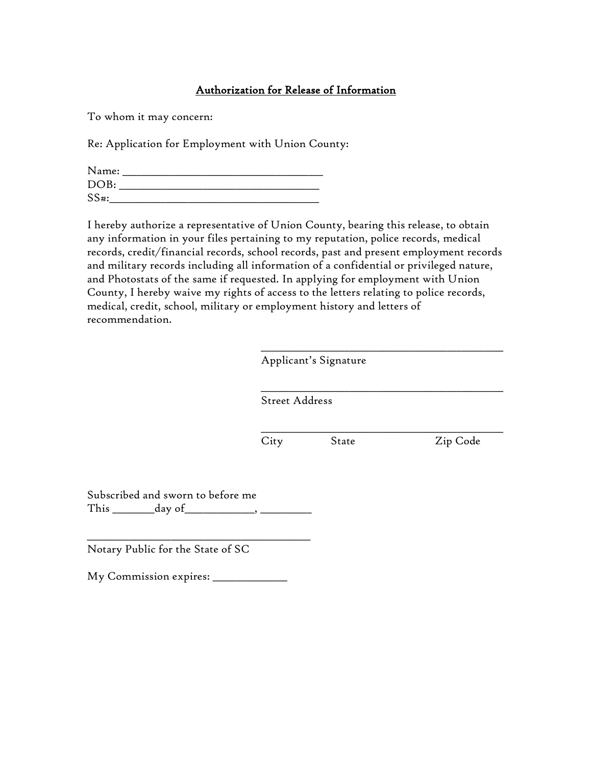### Authorization for Release of Information

To whom it may concern:

Re: Application for Employment with Union County:

| Name:   |  |
|---------|--|
| DOB:    |  |
| $SS#$ : |  |

I hereby authorize a representative of Union County, bearing this release, to obtain any information in your files pertaining to my reputation, police records, medical records, credit/financial records, school records, past and present employment records and military records including all information of a confidential or privileged nature, and Photostats of the same if requested. In applying for employment with Union County, I hereby waive my rights of access to the letters relating to police records, medical, credit, school, military or employment history and letters of recommendation.

| <b>Street Address</b> |  |
|-----------------------|--|
|                       |  |
|                       |  |

Subscribed and sworn to before me This \_\_\_\_\_\_\_\_\_day of\_\_\_\_\_\_\_\_\_\_\_\_\_\_\_, \_\_\_\_\_\_\_\_\_\_\_

Notary Public for the State of SC

My Commission expires: \_\_\_\_\_\_\_\_\_\_\_\_\_\_\_\_

\_\_\_\_\_\_\_\_\_\_\_\_\_\_\_\_\_\_\_\_\_\_\_\_\_\_\_\_\_\_\_\_\_\_\_\_\_\_\_\_\_\_\_\_\_\_\_\_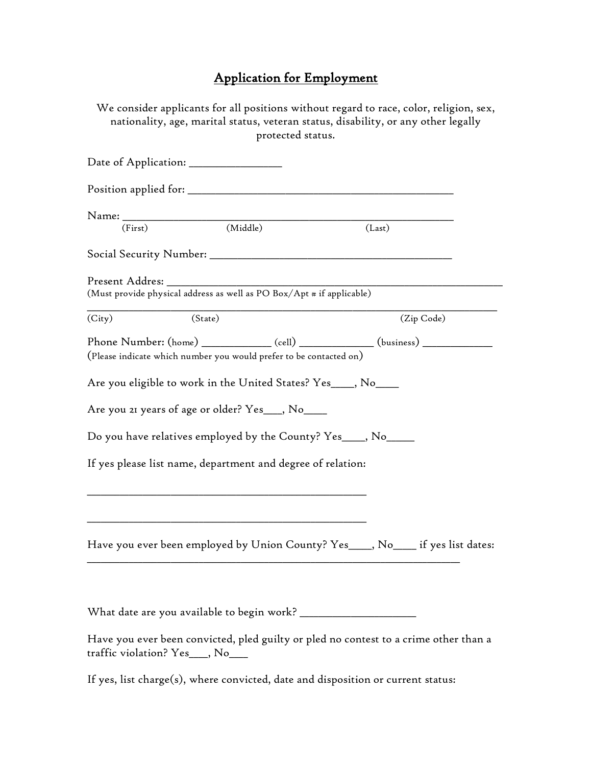# Application for Employment

|                                                                                                 |                              |                   | We consider applicants for all positions without regard to race, color, religion, sex,<br>nationality, age, marital status, veteran status, disability, or any other legally |  |
|-------------------------------------------------------------------------------------------------|------------------------------|-------------------|------------------------------------------------------------------------------------------------------------------------------------------------------------------------------|--|
|                                                                                                 |                              | protected status. |                                                                                                                                                                              |  |
| Date of Application: _______________                                                            |                              |                   |                                                                                                                                                                              |  |
|                                                                                                 |                              |                   |                                                                                                                                                                              |  |
|                                                                                                 | $\overline{\text{(Middle)}}$ |                   |                                                                                                                                                                              |  |
| (First)                                                                                         |                              |                   | (Last)                                                                                                                                                                       |  |
|                                                                                                 |                              |                   |                                                                                                                                                                              |  |
| Present Addres: ______<br>(Must provide physical address as well as PO Box/Apt # if applicable) |                              |                   |                                                                                                                                                                              |  |
| (City)                                                                                          | (State)                      |                   | (Zip Code)                                                                                                                                                                   |  |
| (Please indicate which number you would prefer to be contacted on)                              |                              |                   |                                                                                                                                                                              |  |
| Are you eligible to work in the United States? Yes___, No___                                    |                              |                   |                                                                                                                                                                              |  |
| Are you 21 years of age or older? Yes___, No____                                                |                              |                   |                                                                                                                                                                              |  |
| Do you have relatives employed by the County? Yes___, No____                                    |                              |                   |                                                                                                                                                                              |  |
| If yes please list name, department and degree of relation:                                     |                              |                   |                                                                                                                                                                              |  |
|                                                                                                 |                              |                   |                                                                                                                                                                              |  |
|                                                                                                 |                              |                   | Have you ever been employed by Union County? Yes____, No____ if yes list dates:                                                                                              |  |
|                                                                                                 |                              |                   |                                                                                                                                                                              |  |
|                                                                                                 |                              |                   |                                                                                                                                                                              |  |
| traffic violation? Yes__, No__                                                                  |                              |                   | Have you ever been convicted, pled guilty or pled no contest to a crime other than a                                                                                         |  |
| If yes, list charge(s), where convicted, date and disposition or current status:                |                              |                   |                                                                                                                                                                              |  |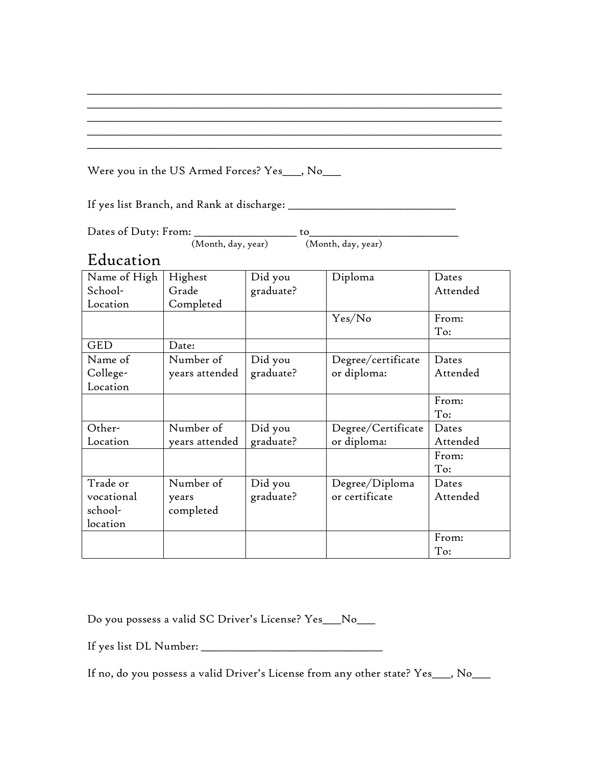### Were you in the US Armed Forces? Yes\_\_\_, No\_\_\_

If yes list Branch, and Rank at discharge: \_\_\_\_\_\_\_\_\_\_\_\_\_\_\_\_\_\_\_\_\_\_\_\_\_\_\_\_\_\_\_\_\_\_\_\_

Dates of Duty: From: \_\_\_\_\_\_\_\_\_\_\_\_\_\_\_\_\_\_\_\_\_\_ to\_\_\_\_\_\_\_\_\_\_\_\_\_\_\_\_\_\_\_\_\_\_\_\_\_\_\_\_\_\_\_\_ (Month, day, year)

## Education

| Name of High | Highest        | Did you   | Diploma            | Dates    |
|--------------|----------------|-----------|--------------------|----------|
| School-      | Grade          | graduate? |                    | Attended |
| Location     | Completed      |           |                    |          |
|              |                |           | Yes/No             | From:    |
|              |                |           |                    | To:      |
| <b>GED</b>   | Date:          |           |                    |          |
| Name of      | Number of      | Did you   | Degree/certificate | Dates    |
| College-     | years attended | graduate? | or diploma:        | Attended |
| Location     |                |           |                    |          |
|              |                |           |                    | From:    |
|              |                |           |                    | To:      |
| Other-       | Number of      | Did you   | Degree/Certificate | Dates    |
| Location     | years attended | graduate? | or diploma:        | Attended |
|              |                |           |                    | From:    |
|              |                |           |                    | To:      |
| Trade or     | Number of      | Did you   | Degree/Diploma     | Dates    |
| vocational   | years          | graduate? | or certificate     | Attended |
| school-      | completed      |           |                    |          |
| location     |                |           |                    |          |
|              |                |           |                    | From:    |
|              |                |           |                    | To:      |

\_\_\_\_\_\_\_\_\_\_\_\_\_\_\_\_\_\_\_\_\_\_\_\_\_\_\_\_\_\_\_\_\_\_\_\_\_\_\_\_\_\_\_\_\_\_\_\_\_\_\_\_\_\_\_\_\_\_\_\_\_\_\_\_\_\_\_\_\_\_\_\_\_\_\_\_\_\_\_\_\_\_\_\_\_\_\_\_\_ \_\_\_\_\_\_\_\_\_\_\_\_\_\_\_\_\_\_\_\_\_\_\_\_\_\_\_\_\_\_\_\_\_\_\_\_\_\_\_\_\_\_\_\_\_\_\_\_\_\_\_\_\_\_\_\_\_\_\_\_\_\_\_\_\_\_\_\_\_\_\_\_\_\_\_\_\_\_\_\_\_\_\_\_\_\_\_\_\_ \_\_\_\_\_\_\_\_\_\_\_\_\_\_\_\_\_\_\_\_\_\_\_\_\_\_\_\_\_\_\_\_\_\_\_\_\_\_\_\_\_\_\_\_\_\_\_\_\_\_\_\_\_\_\_\_\_\_\_\_\_\_\_\_\_\_\_\_\_\_\_\_\_\_\_\_\_\_\_\_\_\_\_\_\_\_\_\_\_ \_\_\_\_\_\_\_\_\_\_\_\_\_\_\_\_\_\_\_\_\_\_\_\_\_\_\_\_\_\_\_\_\_\_\_\_\_\_\_\_\_\_\_\_\_\_\_\_\_\_\_\_\_\_\_\_\_\_\_\_\_\_\_\_\_\_\_\_\_\_\_\_\_\_\_\_\_\_\_\_\_\_\_\_\_\_\_\_\_ \_\_\_\_\_\_\_\_\_\_\_\_\_\_\_\_\_\_\_\_\_\_\_\_\_\_\_\_\_\_\_\_\_\_\_\_\_\_\_\_\_\_\_\_\_\_\_\_\_\_\_\_\_\_\_\_\_\_\_\_\_\_\_\_\_\_\_\_\_\_\_\_\_\_\_\_\_\_\_\_\_\_\_\_\_\_\_\_\_

Do you possess a valid SC Driver's License? Yes\_\_\_\_No\_\_\_\_

If yes list DL Number: \_\_\_\_\_\_\_\_\_\_\_\_\_\_\_\_\_\_\_\_\_\_\_\_\_\_\_\_\_\_\_\_\_\_\_\_\_\_\_

If no, do you possess a valid Driver's License from any other state? Yes\_\_\_\_, No\_\_\_\_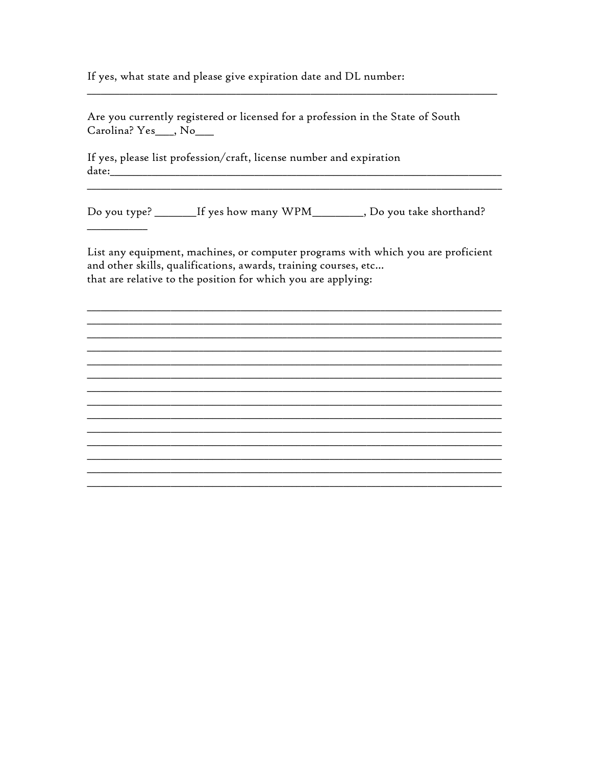If yes, what state and please give expiration date and DL number:

Are you currently registered or licensed for a profession in the State of South Carolina? Yes\_, No\_\_

If yes, please list profession/craft, license number and expiration 

<u> Alexandria de la conte</u>

Do you type? \_\_\_\_\_\_\_\_If yes how many WPM\_\_\_\_\_\_\_\_\_, Do you take shorthand?

<u> 1989 - Johann Harry Harry Harry Harry Harry Harry Harry Harry Harry Harry Harry Harry Harry Harry Harry Harry</u>

List any equipment, machines, or computer programs with which you are proficient and other skills, qualifications, awards, training courses, etc... that are relative to the position for which you are applying:

<u> 1989 - Johann John Stone, mars and deutscher Stone († 1989)</u>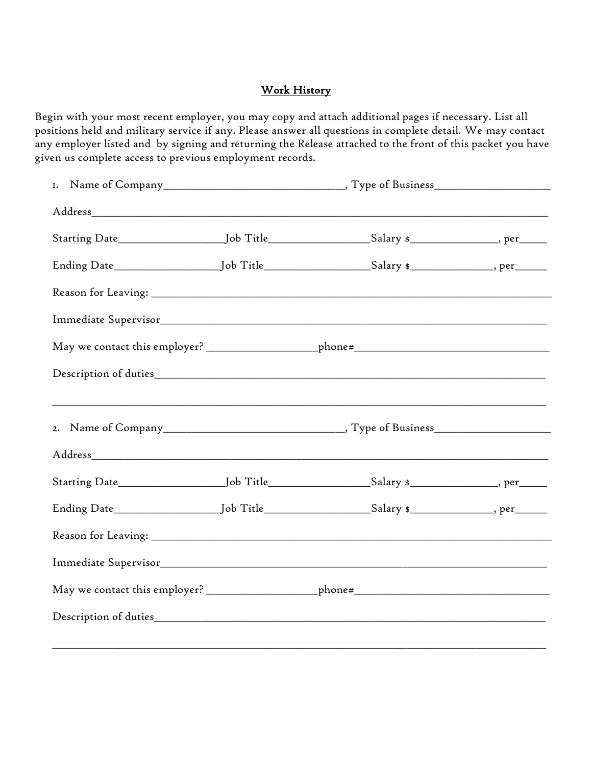### Work History

Begin with your most recent employer, you may copy and attach additional pages if necessary. List all positions held and military service if any. Please answer all questions in complete detail. We may contact any employer listed and by signing and returning the Release attached to the front of this packet you have given us complete access to previous employment records.

|  | May we contact this employer? ____________________phone#________________________ |  |
|--|----------------------------------------------------------------------------------|--|
|  |                                                                                  |  |
|  |                                                                                  |  |
|  |                                                                                  |  |
|  |                                                                                  |  |
|  |                                                                                  |  |
|  |                                                                                  |  |
|  |                                                                                  |  |
|  |                                                                                  |  |
|  |                                                                                  |  |
|  |                                                                                  |  |
|  |                                                                                  |  |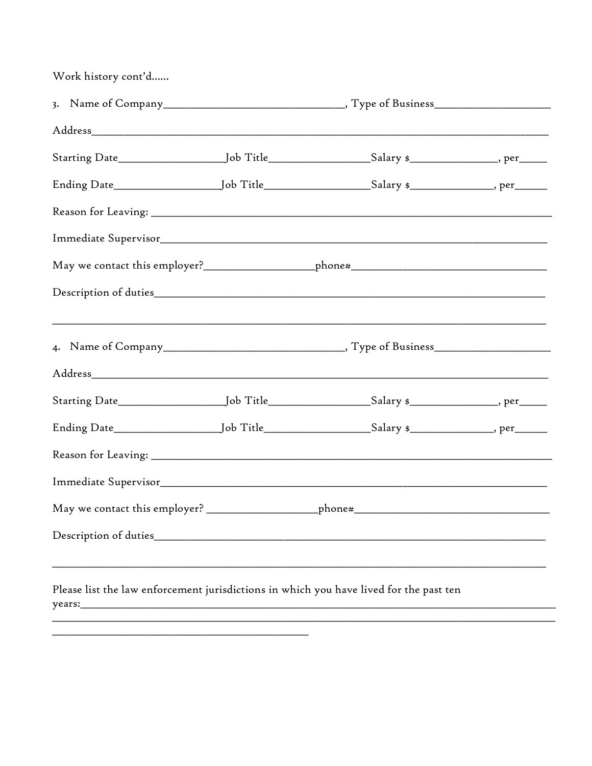| Work history cont'd |                                                                                                                                                                            |  |  |
|---------------------|----------------------------------------------------------------------------------------------------------------------------------------------------------------------------|--|--|
|                     |                                                                                                                                                                            |  |  |
|                     |                                                                                                                                                                            |  |  |
|                     | Starting Date___________________________Job Title_____________________Salary \$____________________, per______                                                             |  |  |
|                     | Ending Date__________________________Job Title_______________________Salary \$__________________, per_______                                                               |  |  |
|                     |                                                                                                                                                                            |  |  |
|                     |                                                                                                                                                                            |  |  |
|                     | May we contact this employer?_______________________phone#_______________________                                                                                          |  |  |
|                     |                                                                                                                                                                            |  |  |
|                     |                                                                                                                                                                            |  |  |
|                     |                                                                                                                                                                            |  |  |
|                     | Starting Date___________________________Job Title_____________________Salary \$____________________, per______                                                             |  |  |
|                     |                                                                                                                                                                            |  |  |
|                     |                                                                                                                                                                            |  |  |
|                     |                                                                                                                                                                            |  |  |
|                     |                                                                                                                                                                            |  |  |
|                     |                                                                                                                                                                            |  |  |
|                     | ,我们也不能在这里的时候,我们也不能在这里的时候,我们也不能会在这里的时候,我们也不能会在这里的时候,我们也不能会在这里的时候,我们也不能会在这里的时候,我们也<br>Please list the law enforcement jurisdictions in which you have lived for the past ten |  |  |